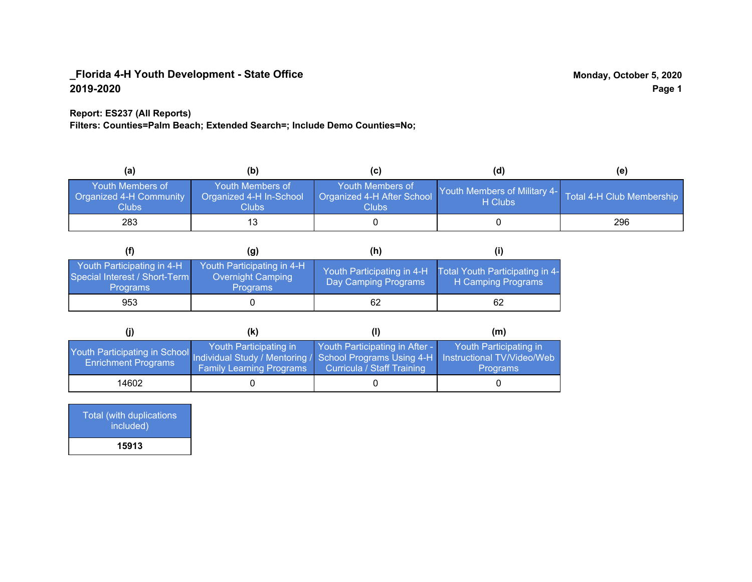#### **Report: ES237 (All Reports)**

**Filters: Counties=Palm Beach; Extended Search=; Include Demo Counties=No;**

| (a)                                                         | (b)                                                   | (C)                                                       | (d)                                                               | (e) |
|-------------------------------------------------------------|-------------------------------------------------------|-----------------------------------------------------------|-------------------------------------------------------------------|-----|
| Youth Members of<br>Organized 4-H Community<br><b>Clubs</b> | Youth Members of<br>Organized 4-H In-School<br>Clubs: | Youth Members of<br>Organized 4-H After School<br>Clubs : | Youth Members of Military 4- Total 4-H Club Membership<br>H Clubs |     |
| 283                                                         |                                                       |                                                           |                                                                   | 296 |

|                                                                                | (q)                                                                | (h)                                                |                                                       |
|--------------------------------------------------------------------------------|--------------------------------------------------------------------|----------------------------------------------------|-------------------------------------------------------|
| Youth Participating in 4-H<br>Special Interest / Short-Term<br><b>Programs</b> | Youth Participating in 4-H<br>Overnight Camping<br><b>Programs</b> | Youth Participating in 4-H<br>Day Camping Programs | Total Youth Participating in 4-<br>H Camping Programs |
| 953                                                                            |                                                                    | 62                                                 | 62                                                    |

|                                                                                                                                                 | (k)                                                       |                                                                     | (m)                                       |
|-------------------------------------------------------------------------------------------------------------------------------------------------|-----------------------------------------------------------|---------------------------------------------------------------------|-------------------------------------------|
| Youth Participating in School Individual Study / Mentoring / School Programs Using 4-H Instructional TV/Video/Web<br><b>Enrichment Programs</b> | Youth Participating in<br><b>Family Learning Programs</b> | Youth Participating in After -<br><b>Curricula / Staff Training</b> | Youth Participating in<br><b>Programs</b> |
| 14602                                                                                                                                           |                                                           |                                                                     |                                           |

Total (with duplications included) **15913**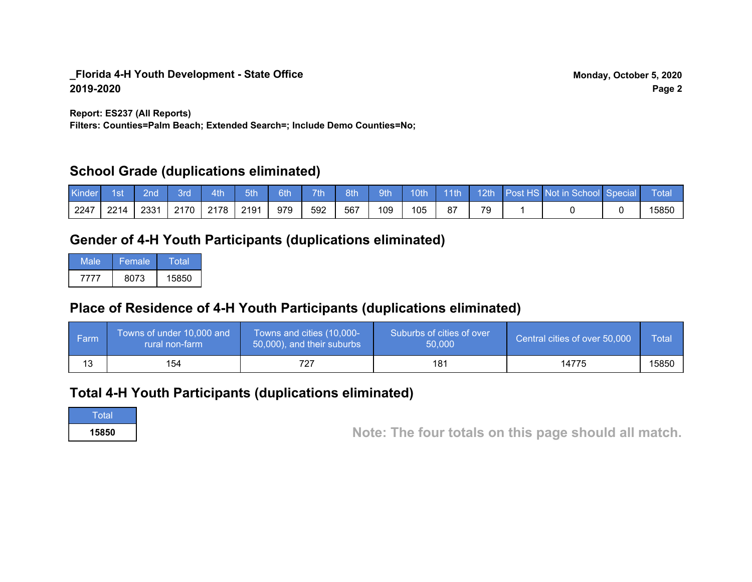**Report: ES237 (All Reports)**

**Filters: Counties=Palm Beach; Extended Search=; Include Demo Counties=No;**

## **School Grade (duplications eliminated)**

| <b>Kinder</b> | 7. 1st / | $\sqrt{2nd}$ | 3rd | $-4th$    | 5th  | 6th |     | 7th 8th 9th |     |     |  | 10th 11th 12th Post HS Not in School Special | <b>Total</b> |
|---------------|----------|--------------|-----|-----------|------|-----|-----|-------------|-----|-----|--|----------------------------------------------|--------------|
| 12247         | 2214     | 2331         |     | 2170 2178 | 2191 | 979 | 592 | 567         | 109 | 105 |  |                                              | 15850        |

# **Gender of 4-H Youth Participants (duplications eliminated)**

| Male | 'Female. | Total |
|------|----------|-------|
| 7777 | 8073     | 15850 |

# **Place of Residence of 4-H Youth Participants (duplications eliminated)**

| i Farmi | Towns of under 10,000 and<br>rural non-farm | Towns and cities (10,000-<br>50,000), and their suburbs | Suburbs of cities of over<br>50,000 | Central cities of over 50,000 | Total |
|---------|---------------------------------------------|---------------------------------------------------------|-------------------------------------|-------------------------------|-------|
| 13      | 154                                         |                                                         | 181                                 | 14775                         | 15850 |

## **Total 4-H Youth Participants (duplications eliminated)**

**Total** 

**<sup>15850</sup> Note: The four totals on this page should all match.**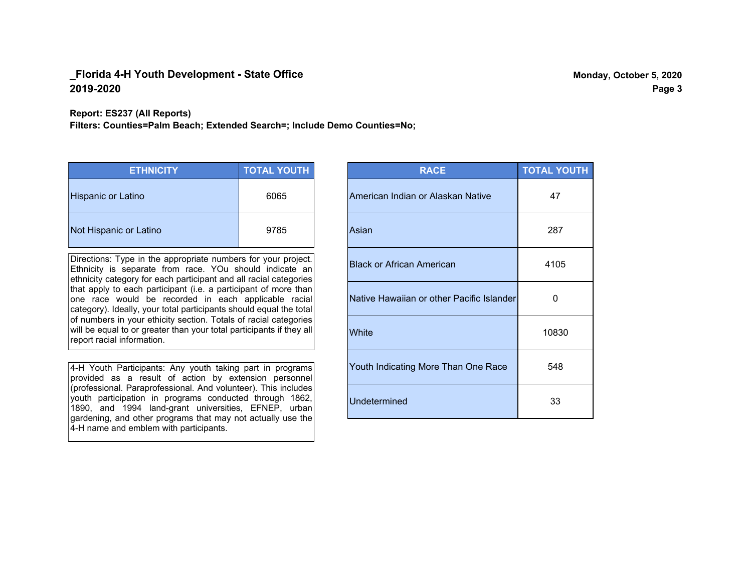**Report: ES237 (All Reports)**

**Filters: Counties=Palm Beach; Extended Search=; Include Demo Counties=No;**

| <b>ETHNICITY</b>          | <b>TOTAL YOUTH</b> |
|---------------------------|--------------------|
| <b>Hispanic or Latino</b> | 6065               |
| Not Hispanic or Latino    | 9785               |

Directions: Type in the appropriate numbers for your project. Ethnicity is separate from race. YOu should indicate an ethnicity category for each participant and all racial categories that apply to each participant (i.e. a participant of more than one race would be recorded in each applicable racial category). Ideally, your total participants should equal the total of numbers in your ethicity section. Totals of racial categories will be equal to or greater than your total participants if they all report racial information.

4-H Youth Participants: Any youth taking part in programs provided as a result of action by extension personnel (professional. Paraprofessional. And volunteer). This includes youth participation in programs conducted through 1862, 1890, and 1994 land-grant universities, EFNEP, urban gardening, and other programs that may not actually use the 4-H name and emblem with participants.

| <b>RACE</b>                               | <b>TOTAL YOUTH</b> |
|-------------------------------------------|--------------------|
| American Indian or Alaskan Native         | 47                 |
| Asian                                     | 287                |
| <b>Black or African American</b>          | 4105               |
| Native Hawaiian or other Pacific Islander | O                  |
| White                                     | 10830              |
| Youth Indicating More Than One Race       | 548                |
| <b>Undetermined</b>                       | 33                 |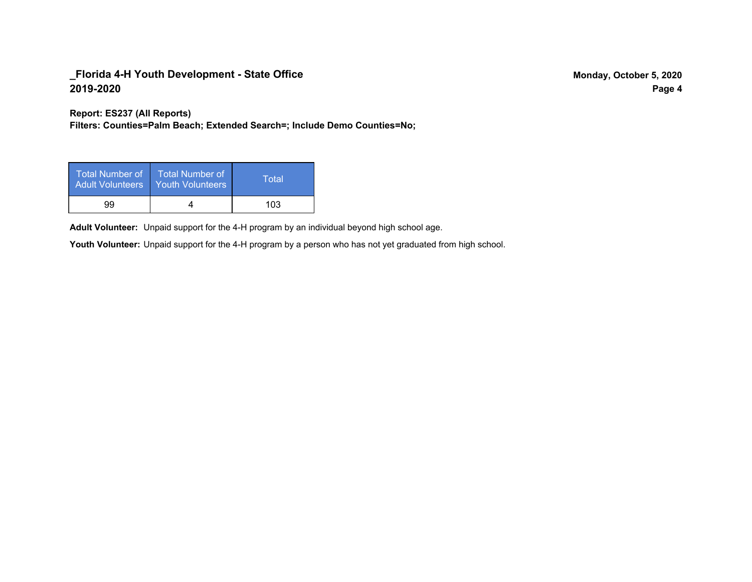**Report: ES237 (All Reports)**

**Filters: Counties=Palm Beach; Extended Search=; Include Demo Counties=No;**

| Total Number of<br><b>Adult Volunteers</b> | <b>Total Number of</b><br><b>Youth Volunteers</b> | Total |
|--------------------------------------------|---------------------------------------------------|-------|
| 99                                         |                                                   | 103   |

Adult Volunteer: Unpaid support for the 4-H program by an individual beyond high school age.

Youth Volunteer: Unpaid support for the 4-H program by a person who has not yet graduated from high school.

**Page 4**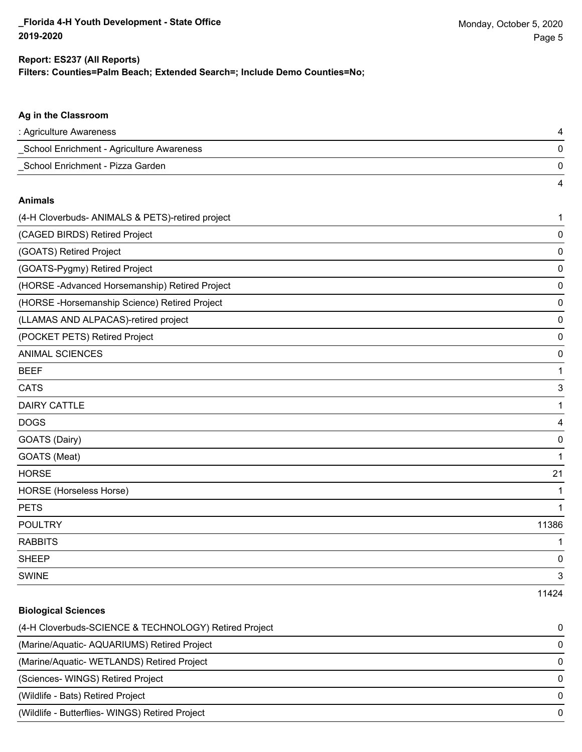#### **Filters: Counties=Palm Beach; Extended Search=; Include Demo Counties=No; Report: ES237 (All Reports)**

| Ag in the Classroom                              |             |
|--------------------------------------------------|-------------|
| : Agriculture Awareness                          | 4           |
| School Enrichment - Agriculture Awareness        | 0           |
| School Enrichment - Pizza Garden                 | 0           |
|                                                  | 4           |
| <b>Animals</b>                                   |             |
| (4-H Cloverbuds- ANIMALS & PETS)-retired project | 1           |
| (CAGED BIRDS) Retired Project                    | 0           |
| (GOATS) Retired Project                          | 0           |
| (GOATS-Pygmy) Retired Project                    | 0           |
| (HORSE-Advanced Horsemanship) Retired Project    | 0           |
| (HORSE - Horsemanship Science) Retired Project   | 0           |
| (LLAMAS AND ALPACAS)-retired project             | 0           |
| (POCKET PETS) Retired Project                    | 0           |
| <b>ANIMAL SCIENCES</b>                           | 0           |
| <b>BEEF</b>                                      | 1           |
| <b>CATS</b>                                      | 3           |
| <b>DAIRY CATTLE</b>                              | $\mathbf 1$ |
| <b>DOGS</b>                                      | 4           |
| GOATS (Dairy)                                    | $\mathbf 0$ |
| GOATS (Meat)                                     | 1           |
| <b>HORSE</b>                                     | 21          |
| HORSE (Horseless Horse)                          | 1           |
| <b>PETS</b>                                      | 1           |
| <b>POULTRY</b>                                   | 11386       |
| <b>RABBITS</b>                                   | 1           |
| <b>SHEEP</b>                                     | 0           |
| <b>SWINE</b>                                     | 3           |
|                                                  | 11424       |

| <b>Biological Sciences</b>                            |          |
|-------------------------------------------------------|----------|
| (4-H Cloverbuds-SCIENCE & TECHNOLOGY) Retired Project | $\Omega$ |
| (Marine/Aquatic-AQUARIUMS) Retired Project            | $\Omega$ |
| (Marine/Aquatic- WETLANDS) Retired Project            | $\Omega$ |
| (Sciences- WINGS) Retired Project                     | $\Omega$ |
| (Wildlife - Bats) Retired Project                     | 0        |
| (Wildlife - Butterflies- WINGS) Retired Project       | $\Omega$ |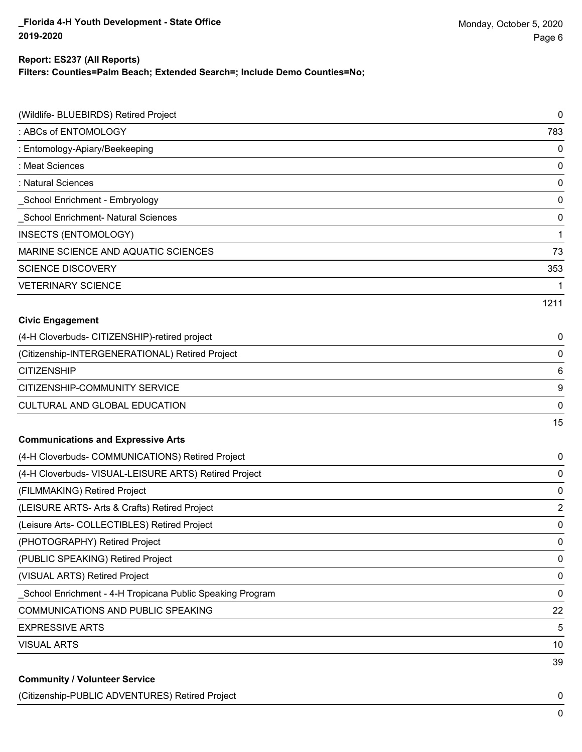#### **Filters: Counties=Palm Beach; Extended Search=; Include Demo Counties=No; Report: ES237 (All Reports)**

| (Wildlife- BLUEBIRDS) Retired Project                     | 0              |
|-----------------------------------------------------------|----------------|
| : ABCs of ENTOMOLOGY                                      | 783            |
| : Entomology-Apiary/Beekeeping                            | $\pmb{0}$      |
| : Meat Sciences                                           | $\pmb{0}$      |
| : Natural Sciences                                        | $\pmb{0}$      |
| School Enrichment - Embryology                            | $\pmb{0}$      |
| <b>School Enrichment- Natural Sciences</b>                | $\pmb{0}$      |
| INSECTS (ENTOMOLOGY)                                      | $\mathbf{1}$   |
| MARINE SCIENCE AND AQUATIC SCIENCES                       | 73             |
| <b>SCIENCE DISCOVERY</b>                                  | 353            |
| <b>VETERINARY SCIENCE</b>                                 | 1              |
|                                                           | 1211           |
| <b>Civic Engagement</b>                                   |                |
| (4-H Cloverbuds- CITIZENSHIP)-retired project             | 0              |
| (Citizenship-INTERGENERATIONAL) Retired Project           | 0              |
| <b>CITIZENSHIP</b>                                        | 6              |
| CITIZENSHIP-COMMUNITY SERVICE                             | 9              |
| CULTURAL AND GLOBAL EDUCATION                             | $\pmb{0}$      |
|                                                           | 15             |
| <b>Communications and Expressive Arts</b>                 |                |
| (4-H Cloverbuds- COMMUNICATIONS) Retired Project          | 0              |
| (4-H Cloverbuds- VISUAL-LEISURE ARTS) Retired Project     | $\pmb{0}$      |
| (FILMMAKING) Retired Project                              | 0              |
| (LEISURE ARTS- Arts & Crafts) Retired Project             | $\overline{2}$ |
| (Leisure Arts- COLLECTIBLES) Retired Project              | $\pmb{0}$      |
| (PHOTOGRAPHY) Retired Project                             | $\pmb{0}$      |
| (PUBLIC SPEAKING) Retired Project                         | $\pmb{0}$      |
| (VISUAL ARTS) Retired Project                             | $\pmb{0}$      |
| School Enrichment - 4-H Tropicana Public Speaking Program | $\pmb{0}$      |
| <b>COMMUNICATIONS AND PUBLIC SPEAKING</b>                 | 22             |
| <b>EXPRESSIVE ARTS</b>                                    | 5              |
| <b>VISUAL ARTS</b>                                        | 10             |
|                                                           | 39             |

(Citizenship-PUBLIC ADVENTURES) Retired Project 0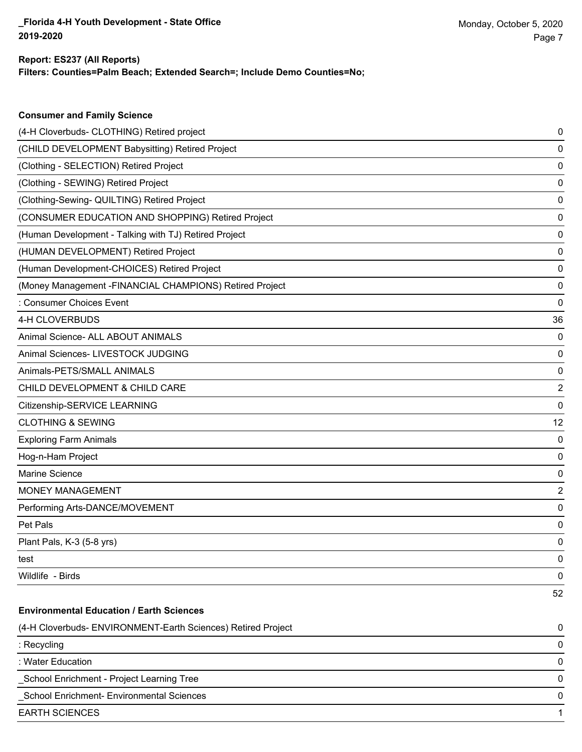**Consumer and Family Science**

#### **Filters: Counties=Palm Beach; Extended Search=; Include Demo Counties=No; Report: ES237 (All Reports)**

| (4-H Cloverbuds- CLOTHING) Retired project                   | 0  |
|--------------------------------------------------------------|----|
| (CHILD DEVELOPMENT Babysitting) Retired Project              | 0  |
| (Clothing - SELECTION) Retired Project                       | 0  |
| (Clothing - SEWING) Retired Project                          | 0  |
| (Clothing-Sewing- QUILTING) Retired Project                  | 0  |
| (CONSUMER EDUCATION AND SHOPPING) Retired Project            | 0  |
| (Human Development - Talking with TJ) Retired Project        | 0  |
| (HUMAN DEVELOPMENT) Retired Project                          | 0  |
| (Human Development-CHOICES) Retired Project                  | 0  |
| (Money Management - FINANCIAL CHAMPIONS) Retired Project     | 0  |
| : Consumer Choices Event                                     | 0  |
| 4-H CLOVERBUDS                                               | 36 |
| Animal Science- ALL ABOUT ANIMALS                            | 0  |
| Animal Sciences- LIVESTOCK JUDGING                           | 0  |
| Animals-PETS/SMALL ANIMALS                                   | 0  |
| CHILD DEVELOPMENT & CHILD CARE                               | 2  |
| Citizenship-SERVICE LEARNING                                 | 0  |
| <b>CLOTHING &amp; SEWING</b>                                 | 12 |
| <b>Exploring Farm Animals</b>                                | 0  |
| Hog-n-Ham Project                                            | 0  |
| <b>Marine Science</b>                                        | 0  |
| <b>MONEY MANAGEMENT</b>                                      | 2  |
| Performing Arts-DANCE/MOVEMENT                               | 0  |
| Pet Pals                                                     | 0  |
| Plant Pals, K-3 (5-8 yrs)                                    | 0  |
| test                                                         | 0  |
| Wildlife - Birds                                             | 0  |
|                                                              | 52 |
| <b>Environmental Education / Earth Sciences</b>              |    |
| (4-H Cloverbuds- ENVIRONMENT-Earth Sciences) Retired Project | 0  |
| : Recycling                                                  | 0  |
| : Water Education                                            | 0  |
| School Enrichment - Project Learning Tree                    | 0  |
| School Enrichment- Environmental Sciences                    | 0  |
| <b>EARTH SCIENCES</b>                                        | 1  |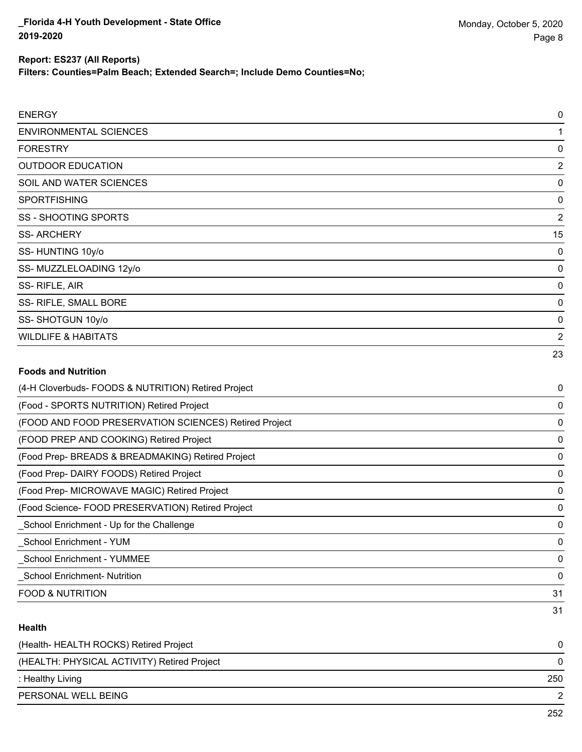**Filters: Counties=Palm Beach; Extended Search=; Include Demo Counties=No;**

| <b>ENERGY</b>                                         | $\mathbf 0$    |
|-------------------------------------------------------|----------------|
| <b>ENVIRONMENTAL SCIENCES</b>                         | 1              |
| <b>FORESTRY</b>                                       | 0              |
| <b>OUTDOOR EDUCATION</b>                              | 2              |
| SOIL AND WATER SCIENCES                               | 0              |
| <b>SPORTFISHING</b>                                   | 0              |
| <b>SS - SHOOTING SPORTS</b>                           | $\overline{2}$ |
| <b>SS-ARCHERY</b>                                     | 15             |
| SS-HUNTING 10y/o                                      | 0              |
| SS-MUZZLELOADING 12y/o                                | 0              |
| SS-RIFLE, AIR                                         | 0              |
| SS- RIFLE, SMALL BORE                                 | 0              |
| SS-SHOTGUN 10y/o                                      | 0              |
| <b>WILDLIFE &amp; HABITATS</b>                        | $\overline{2}$ |
|                                                       | 23             |
| <b>Foods and Nutrition</b>                            |                |
| (4-H Cloverbuds- FOODS & NUTRITION) Retired Project   | 0              |
| (Food - SPORTS NUTRITION) Retired Project             | 0              |
| (FOOD AND FOOD PRESERVATION SCIENCES) Retired Project | 0              |
| (FOOD PREP AND COOKING) Retired Project               | 0              |
| (Food Prep- BREADS & BREADMAKING) Retired Project     | 0              |
| (Food Prep- DAIRY FOODS) Retired Project              | 0              |
| (Food Prep- MICROWAVE MAGIC) Retired Project          | 0              |

(Food Science- FOOD PRESERVATION) Retired Project 0 \_School Enrichment - Up for the Challenge 0

\_School Enrichment - YUM 0

\_School Enrichment - YUMMEE 0

\_School Enrichment- Nutrition 0

FOOD & NUTRITION 31

### **Health**

| (Health-HEALTH ROCKS) Retired Project       |     |
|---------------------------------------------|-----|
| (HEALTH: PHYSICAL ACTIVITY) Retired Project |     |
| : Healthy Living                            | 250 |
| PERSONAL WELL BEING                         |     |
|                                             |     |

31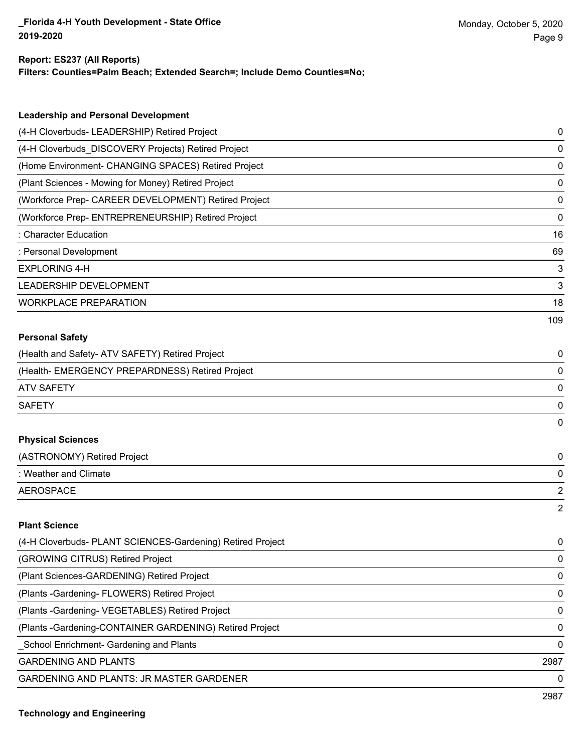#### **Report: ES237 (All Reports)**

**Filters: Counties=Palm Beach; Extended Search=; Include Demo Counties=No;**

| <b>Leadership and Personal Development</b>           |     |
|------------------------------------------------------|-----|
| (4-H Cloverbuds- LEADERSHIP) Retired Project         | 0   |
| (4-H Cloverbuds DISCOVERY Projects) Retired Project  | 0   |
| (Home Environment- CHANGING SPACES) Retired Project  | 0   |
| (Plant Sciences - Mowing for Money) Retired Project  | 0   |
| (Workforce Prep- CAREER DEVELOPMENT) Retired Project | 0   |
| (Workforce Prep- ENTREPRENEURSHIP) Retired Project   | 0   |
| : Character Education                                | 16  |
| : Personal Development                               | 69  |
| <b>EXPLORING 4-H</b>                                 | 3   |
| LEADERSHIP DEVELOPMENT                               | 3   |
| <b>WORKPLACE PREPARATION</b>                         | 18  |
|                                                      | 109 |
| <b>Personal Safety</b>                               |     |
| (Health and Safety- ATV SAFETY) Retired Project      | 0   |
| (Health-EMERGENCY PREPARDNESS) Retired Project       | 0   |
| <b>ATV SAFETY</b>                                    | 0   |
| <b>SAFETY</b>                                        | 0   |
|                                                      | 0   |
| <b>Physical Sciences</b>                             |     |
| (ASTRONOMY) Retired Project                          | 0   |
| : Weather and Climate                                | 0   |
| <b>AEROSPACE</b>                                     | 2   |

#### **Plant Science**

| (4-H Cloverbuds- PLANT SCIENCES-Gardening) Retired Project | $\mathbf{0}$ |
|------------------------------------------------------------|--------------|
| (GROWING CITRUS) Retired Project                           | 0            |
| (Plant Sciences-GARDENING) Retired Project                 | 0            |
| (Plants - Gardening - FLOWERS) Retired Project             | 0            |
| (Plants - Gardening - VEGETABLES) Retired Project          | $\Omega$     |
| (Plants - Gardening-CONTAINER GARDENING) Retired Project   | $\Omega$     |
| School Enrichment- Gardening and Plants                    | $\Omega$     |
| <b>GARDENING AND PLANTS</b>                                | 2987         |
| <b>GARDENING AND PLANTS: JR MASTER GARDENER</b>            | 0            |
|                                                            |              |

2